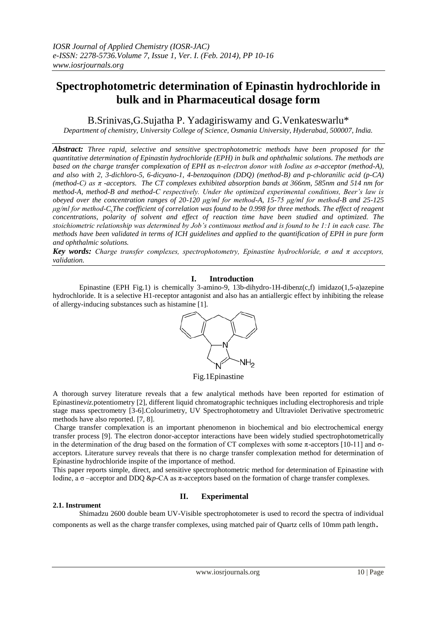# **Spectrophotometric determination of Epinastin hydrochloride in bulk and in Pharmaceutical dosage form**

B.Srinivas,G.Sujatha P. Yadagiriswamy and G.Venkateswarlu\*

*Department of chemistry, University College of Science, Osmania University, Hyderabad, 500007, India.*

*Abstract: Three rapid, selective and sensitive spectrophotometric methods have been proposed for the quantitative determination of Epinastin hydrochloride (EPH) in bulk and ophthalmic solutions. The methods are based on the charge transfer complexation of EPH as n-electron donor with Iodine as σ-acceptor (method-A), and also with 2, 3-dichloro-5, 6-dicyano-1, 4-benzoquinon (DDQ) (method-B) and p-chloranilic acid (p-CA) (method-C) as π -acceptors. The CT complexes exhibited absorption bands at 366nm, 585nm and 514 nm for method-A, method-B and method-C respectively. Under the optimized experimental conditions, Beer's law is obeyed over the concentration ranges of 20-120 μg/ml for method-A, 15-75 μg/ml for method-B and 25-125 μg/ml for method-C.The coefficient of correlation was found to be 0.998 for three methods. The effect of reagent concentrations, polarity of solvent and effect of reaction time have been studied and optimized. The stoichiometric relationship was determined by Job's continuous method and is found to be 1:1 in each case. The methods have been validated in terms of ICH guidelines and applied to the quantification of EPH in pure form and ophthalmic solutions.*

*Key words: Charge transfer complexes, spectrophotometry, Epinastine hydrochloride, σ and π acceptors, validation.*

# **I. Introduction**

Epinastine (EPH Fig.1) is chemically 3-amino-9, 13b-dihydro-1H-dibenz(c,f) imidazo(1,5-a)azepine hydrochloride. It is a selective H1-receptor antagonist and also has an antiallergic effect by inhibiting the release of allergy-inducing substances such as histamine [1].



Fig.1Epinastine

A thorough survey literature reveals that a few analytical methods have been reported for estimation of Epinastine*viz.*potentiometry [2], different liquid chromatographic techniques including electrophoresis and triple stage mass spectrometry [3-6].Colourimetry*,* UV Spectrophotometry and Ultraviolet Derivative spectrometric methods have also reported. [7, 8].

Charge transfer complexation is an important phenomenon in biochemical and bio electrochemical energy transfer process [9]. The electron donor-acceptor interactions have been widely studied spectrophotometrically in the determination of the drug based on the formation of CT complexes with some  $\pi$ -acceptors [10-11] and  $\sigma$ acceptors. Literature survey reveals that there is no charge transfer complexation method for determination of Epinastine hydrochloride inspite of the importance of method.

This paper reports simple, direct, and sensitive spectrophotometric method for determination of Epinastine with Iodine, a σ –acceptor and DDQ &*p*-CA as π-acceptors based on the formation of charge transfer complexes.

# **II. Experimental**

#### **2.1. Instrument**

Shimadzu 2600 double beam UV-Visible spectrophotometer is used to record the spectra of individual components as well as the charge transfer complexes, using matched pair of Quartz cells of 10mm path length.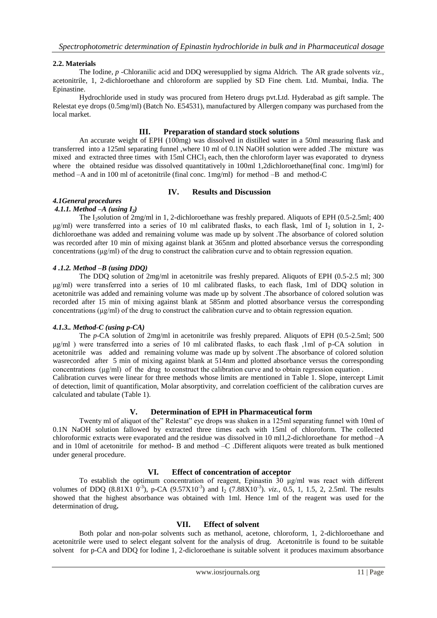## **2.2. Materials**

The Iodine*, p* -Chloranilic acid and DDQ weresupplied by sigma Aldrich. The AR grade solvents *viz.*, acetonitrile, 1, 2-dichloroethane and chloroform are supplied by SD Fine chem. Ltd. Mumbai, India. The Epinastine.

Hydrochloride used in study was procured from Hetero drugs pvt.Ltd. Hyderabad as gift sample. The Relestat eye drops (0.5mg/ml) (Batch No. E54531), manufactured by Allergen company was purchased from the local market.

## **III. Preparation of standard stock solutions**

An accurate weight of EPH (100mg) was dissolved in distilled water in a 50ml measuring flask and transferred into a 125ml separating funnel ,where 10 ml of 0.1N NaOH solution were added .The mixture was mixed and extracted three times with  $15ml$  CHCl<sub>3</sub> each, then the chloroform layer was evaporated to dryness where the obtained residue was dissolved quantitatively in 100ml 1,2dichloroethane(final conc. 1mg/ml) for method –A and in 100 ml of acetonitrile (final conc. 1mg/ml) for method –B and method-C

## **IV. Results and Discussion**

## *4.1General procedures*

## *4.1.1. Method –A (using I2)*

The I<sub>2</sub>solution of 2mg/ml in 1, 2-dichloroethane was freshly prepared. Aliquots of EPH (0.5-2.5ml; 400) μg/ml) were transferred into a series of 10 ml calibrated flasks, to each flask, 1ml of I<sub>2</sub> solution in 1, 2dichloroethane was added and remaining volume was made up by solvent .The absorbance of colored solution was recorded after 10 min of mixing against blank at 365nm and plotted absorbance versus the corresponding concentrations  $(\mu g/ml)$  of the drug to construct the calibration curve and to obtain regression equation.

## *4 .1.2. Method –B (using DDQ)*

The DDQ solution of 2mg/ml in acetonitrile was freshly prepared. Aliquots of EPH (0.5-2.5 ml; 300 μg/ml) were transferred into a series of 10 ml calibrated flasks, to each flask, 1ml of DDQ solution in acetonitrile was added and remaining volume was made up by solvent .The absorbance of colored solution was recorded after 15 min of mixing against blank at 585nm and plotted absorbance versus the corresponding concentrations (μg/ml) of the drug to construct the calibration curve and to obtain regression equation.

## *4.1.3.. Method-C (using p-CA)*

The *p*-CA solution of 2mg/ml in acetonitrile was freshly prepared. Aliquots of EPH (0.5-2.5ml; 500 μg/ml ) were transferred into a series of 10 ml calibrated flasks, to each flask ,1ml of p-CA solution in acetonitrile was added and remaining volume was made up by solvent .The absorbance of colored solution wasrecorded after 5 min of mixing against blank at 514nm and plotted absorbance versus the corresponding concentrations (μg/ml) of the drug to construct the calibration curve and to obtain regression equation . Calibration curves were linear for three methods whose limits are mentioned in Table 1. Slope, intercept Limit

of detection, limit of quantification, Molar absorptivity, and correlation coefficient of the calibration curves are calculated and tabulate (Table 1).

## **V. Determination of EPH in Pharmaceutical form**

Twenty ml of aliquot of the" Relestat" eye drops was shaken in a 125ml separating funnel with 10ml of 0.1N NaOH solution fallowed by extracted three times each with 15ml of chloroform. The collected chloroformic extracts were evaporated and the residue was dissolved in 10 ml1,2-dichloroethane for method -A and in 10ml of acetonitrile for method- B and method –C .Different aliquots were treated as bulk mentioned under general procedure.

## **VI. Effect of concentration of acceptor**

To establish the optimum concentration of reagent, Epinastin  $\overline{30}$   $\mu$ g/ml was react with different volumes of DDQ (8.81X1  $0^{-3}$ ), p-CA (9.57X10<sup>-3</sup>) and  $I_2$  (7.88X10<sup>-3</sup>). *viz.*, 0.5, 1, 1.5, 2, 2.5ml. The results showed that the highest absorbance was obtained with 1ml. Hence 1ml of the reagent was used for the determination of drug**.** 

## **VII. Effect of solvent**

 Both polar and non-polar solvents such as methanol, acetone, chloroform, 1, 2-dichloroethane and acetonitrile were used to select elegant solvent for the analysis of drug. Acetonitrile is found to be suitable solvent for p-CA and DDQ for Iodine 1, 2-dicloroethane is suitable solvent it produces maximum absorbance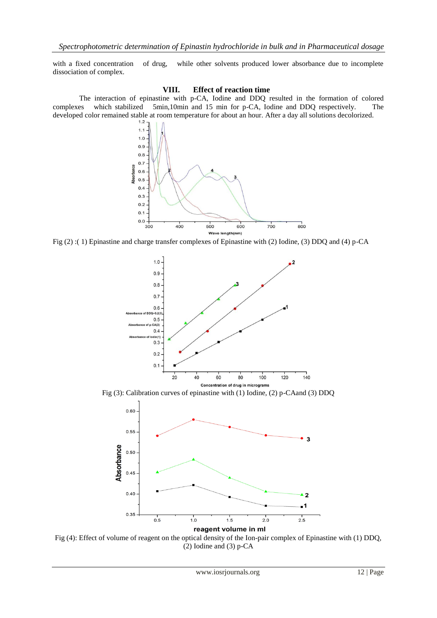with a fixed concentration of drug, while other solvents produced lower absorbance due to incomplete dissociation of complex.

#### **VIII. Effect of reaction time**

 The interaction of epinastine with p-CA, Iodine and DDQ resulted in the formation of colored complexes which stabilized 5min,10min and 15 min for p-CA, Iodine and DDQ respectively. The developed color remained stable at room temperature for about an hour. After a day all solutions decolorized.



Fig (2) :( 1) Epinastine and charge transfer complexes of Epinastine with (2) Iodine, (3) DDQ and (4) p-CA



Fig (3): Calibration curves of epinastine with (1) Iodine, (2) p-CAand (3) DDQ



Fig (4): Effect of volume of reagent on the optical density of the Ion-pair complex of Epinastine with (1) DDQ, (2) Iodine and (3) p-CA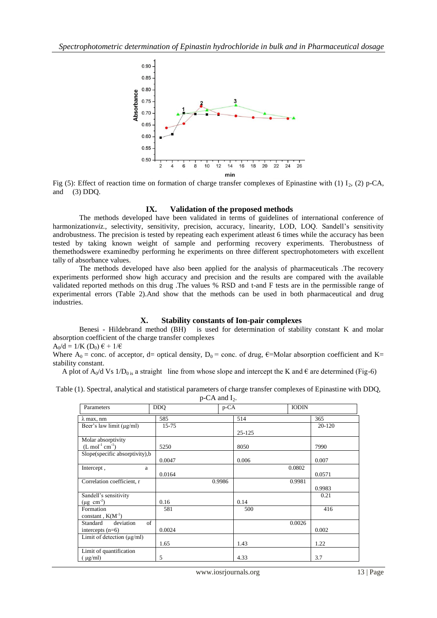

Fig (5): Effect of reaction time on formation of charge transfer complexes of Epinastine with (1) I<sub>2</sub>, (2) p-CA, and (3) DDQ.

#### **IX. Validation of the proposed methods**

The methods developed have been validated in terms of guidelines of international conference of harmonization*viz.*, selectivity, sensitivity, precision, accuracy, linearity, LOD, LOQ. Sandell's sensitivity androbustness. The precision is tested by repeating each experiment atleast 6 times while the accuracy has been tested by taking known weight of sample and performing recovery experiments. Therobustness of themethodswere examinedby performing he experiments on three different spectrophotometers with excellent tally of absorbance values.

The methods developed have also been applied for the analysis of pharmaceuticals .The recovery experiments performed show high accuracy and precision and the results are compared with the available validated reported methods on this drug .The values % RSD and t-and F tests are in the permissible range of experimental errors (Table 2).And show that the methods can be used in both pharmaceutical and drug industries.

#### **X. Stability constants of Ion-pair complexes**

Benesi - Hildebrand method (BH) is used for determination of stability constant K and molar absorption coefficient of the charge transfer complexes

 $A_0/d = 1/K$  (D<sub>0</sub>)  $\epsilon + 1/\epsilon$ 

Where  $A_0$  = conc. of acceptor, d= optical density,  $D_0$  = conc. of drug,  $\varepsilon$ =Molar absorption coefficient and K= stability constant.

A plot of  $A_0/d$  Vs  $1/D_0$  is a straight line from whose slope and intercept the K and  $\epsilon$  are determined (Fig-6)

| Table (1). Spectral, analytical and statistical parameters of charge transfer complexes of Epinastine with DDQ, |                     |  |
|-----------------------------------------------------------------------------------------------------------------|---------------------|--|
|                                                                                                                 | $p$ -CA and $I_2$ . |  |

| Parameters                      | <b>DDO</b> | $p$ -CA |        | <b>IODIN</b> |        |
|---------------------------------|------------|---------|--------|--------------|--------|
| $\lambda$ max, nm               | 585        |         | 514    |              | 365    |
| Beer's law limit $(\mu g/ml)$   | $15 - 75$  |         |        |              | 20-120 |
|                                 |            |         | 25-125 |              |        |
| Molar absorptivity              |            |         |        |              |        |
| $(L \mod 1 \text{ cm}^{-1})$    | 5250       |         | 8050   |              | 7990   |
| Slope(specific absorptivity), b |            |         |        |              |        |
|                                 | 0.0047     |         | 0.006  |              | 0.007  |
| Intercept,<br>a                 |            |         |        | 0.0802       |        |
|                                 | 0.0164     |         |        |              | 0.0571 |
| Correlation coefficient, r      |            | 0.9986  |        | 0.9981       |        |
|                                 |            |         |        |              | 0.9983 |
| Sandell's sensitivity           |            |         |        |              | 0.21   |
| $(\mu g \text{ cm}^{-2})$       | 0.16       |         | 0.14   |              |        |
| Formation                       | 581        |         | 500    |              | 416    |
| constant, $K(M^{-1})$           |            |         |        |              |        |
| deviation<br>of<br>Standard     |            |         |        | 0.0026       |        |
| intercepts $(n=6)$              | 0.0024     |         |        |              | 0.002  |
| Limit of detection $(\mu g/ml)$ |            |         |        |              |        |
|                                 | 1.65       |         | 1.43   |              | 1.22   |
| Limit of quantification         |            |         |        |              |        |
| $(\mu g/ml)$                    | 5          |         | 4.33   |              | 3.7    |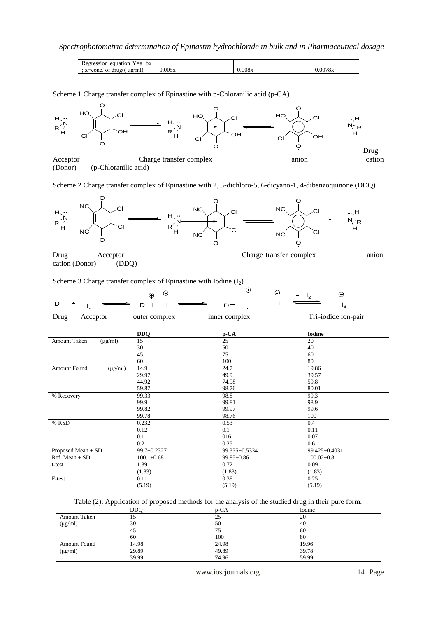| equation<br>$Y = a + bx$<br>egression |        |        |         |
|---------------------------------------|--------|--------|---------|
| οt<br>ug/ml)<br>$x = conc$<br>drug(   | 0.005x | 0.008x | 0.0078x |

Scheme 1 Charge transfer complex of Epinastine with p-Chloranilic acid (p-CA)



(Donor) (p-Chloranilic acid)

Scheme 2 Charge transfer complex of Epinastine with 2, 3-dichloro-5, 6-dicyano-1, 4-dibenzoquinone (DDQ)



Drug Acceptor Charge transfer complex anion cation (Donor) (DDQ)

Scheme 3 Charge transfer complex of Epinastine with Iodine  $(I_2)$ 



|                              | <b>DDQ</b>       | p-CA             | <b>Iodine</b>    |
|------------------------------|------------------|------------------|------------------|
| Amount Taken<br>$(\mu g/ml)$ | 15               | 25               | 20               |
|                              | 30               | 50               | 40               |
|                              | 45               | 75               | 60               |
|                              | 60               | 100              | 80               |
| Amount Found<br>$(\mu g/ml)$ | 14.9             | 24.7             | 19.86            |
|                              | 29.97            | 49.9             | 39.57            |
|                              | 44.92            | 74.98            | 59.8             |
|                              | 59.87            | 98.76            | 80.01            |
| % Recovery                   | 99.33            | 98.8             | 99.3             |
|                              | 99.9             | 99.81            | 98.9             |
|                              | 99.82            | 99.97            | 99.6             |
|                              | 99.78            | 98.76            | 100              |
| % RSD                        | 0.232            | 0.53             | 0.4              |
|                              | 0.12             | 0.1              | 0.11             |
|                              | 0.1              | 016              | 0.07             |
|                              | 0.2              | 0.25             | 0.6              |
| Proposed Mean $\pm$ SD       | 99.7±0.2327      | 99.335±0.5334    | 99.425±0.4031    |
| Ref Mean $\pm$ SD            | $100.1 \pm 0.68$ | $99.85 \pm 0.86$ | $100.02 \pm 0.8$ |
| t-test                       | 1.39             | 0.72             | 0.09             |
|                              | (1.83)           | (1.83)           | (1.83)           |
| F-test                       | 0.11             | 0.38             | 0.25             |
|                              | (5.19)           | (5.19)           | (5.19)           |

Table (2): Application of proposed methods for the analysis of the studied drug in their pure form.

|              | <b>DDO</b> | $p$ -CA | Iodine |
|--------------|------------|---------|--------|
| Amount Taken | 15         | 25      | 20     |
| $(\mu g/ml)$ | 30         | 50      | 40     |
|              | 45         | 75      | 60     |
|              | 60         | 100     | 80     |
| Amount Found | 14.98      | 24.98   | 19.96  |
| $(\mu g/ml)$ | 29.89      | 49.89   | 39.78  |
|              | 39.99      | 74.96   | 59.99  |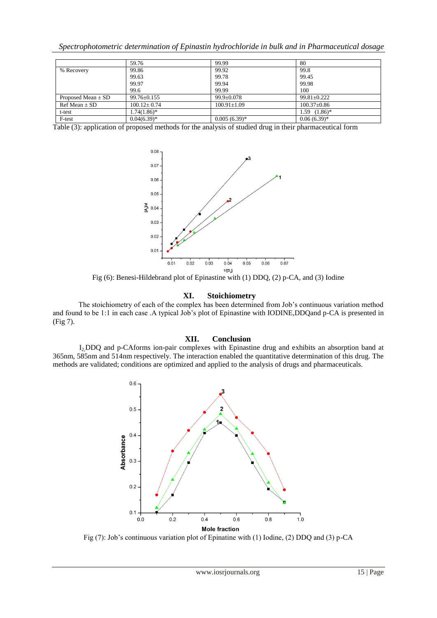|  |  |  |  |  | Spectrophotometric determination of Epinastin hydrochloride in bulk and in Pharmaceutical dosage |  |
|--|--|--|--|--|--------------------------------------------------------------------------------------------------|--|
|  |  |  |  |  |                                                                                                  |  |

|                        | 59.76             | 99.99             | 80                |
|------------------------|-------------------|-------------------|-------------------|
| % Recovery             | 99.86             | 99.92             | 99.8              |
|                        | 99.63             | 99.78             | 99.45             |
|                        | 99.97             | 99.94             | 99.98             |
|                        | 99.6              | 99.99             | 100               |
| Proposed Mean $\pm$ SD | 99.76±0.155       | $99.9 \pm 0.078$  | $99.81 + 0.222$   |
| $Ref Mean \pm SD$      | $100.12 \pm 0.74$ | $100.91 \pm 1.09$ | $100.37 \pm 0.86$ |
| t-test                 | $1.74(1.86)^*$    |                   | $1.59$ $(1.86)^*$ |
| F-test                 | $0.04(6.39)*$     | $0.005(6.39)*$    | $0.06(6.39)*$     |

Table (3): application of proposed methods for the analysis of studied drug in their pharmaceutical form



Fig (6): Benesi-Hildebrand plot of Epinastine with (1) DDQ, (2) p-CA, and (3) Iodine

#### **XI. Stoichiometry**

 The stoichiometry of each of the complex has been determined from Job's continuous variation method and found to be 1:1 in each case .A typical Job's plot of Epinastine with IODINE,DDQand p-CA is presented in (Fig 7).

## **XII. Conclusion**

I2,DDQ and p-CAforms ion-pair complexes with Epinastine drug and exhibits an absorption band at 365nm, 585nm and 514nm respectively. The interaction enabled the quantitative determination of this drug. The methods are validated; conditions are optimized and applied to the analysis of drugs and pharmaceuticals.



Fig (7): Job's continuous variation plot of Epinatine with (1) Iodine, (2) DDQ and (3) p-CA